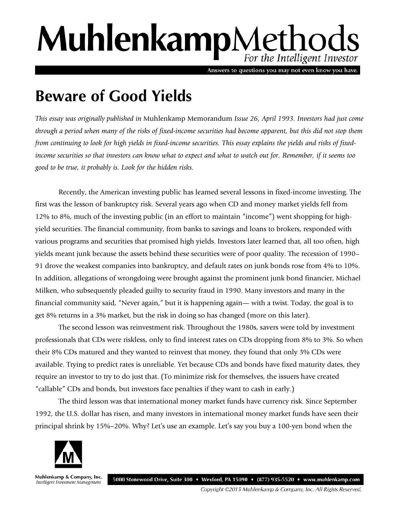# MuhlenkampMethods For the Intelligent Investor

Answers to questions you may not even know you have.

## **Beware of Good Yields**

*This essay was originally published in* Muhlenkamp Memorandum *Issue 26, April 1993. Investors had just come through a period when many of the risks of fixed-income securities had become apparent, but this did not stop them from continuing to look for high yields in fixed-income securities. This essay explains the yields and risks of fixedincome securities so that investors can know what to expect and what to watch out for. Remember, if it seems too good to be true, it probably is. Look for the hidden risks.* 

Recently, the American investing public has learned several lessons in fixed-income investing. The first was the lesson of bankruptcy risk. Several years ago when CD and money market yields fell from 12% to 8%, much of the investing public (in an effort to maintain "income") went shopping for highyield securities. The financial community, from banks to savings and loans to brokers, responded with various programs and securities that promised high yields. Investors later learned that, all too often, high yields meant junk because the assets behind these securities were of poor quality. The recession of 1990– 91 drove the weakest companies into bankruptcy, and default rates on junk bonds rose from 4% to 10%. In addition, allegations of wrongdoing were brought against the prominent junk bond financier, Michael Milken, who subsequently pleaded guilty to security fraud in 1990. Many investors and many in the financial community said, "Never again," but it is happening again— with a twist. Today, the goal is to get 8% returns in a 3% market, but the risk in doing so has changed (more on this later).

The second lesson was reinvestment risk. Throughout the 1980s, savers were told by investment professionals that CDs were riskless, only to find interest rates on CDs dropping from 8% to 3%. So when their 8% CDs matured and they wanted to reinvest that money, they found that only 3% CDs were available. Trying to predict rates is unreliable. Yet because CDs and bonds have fixed maturity dates, they require an investor to try to do just that. (To minimize risk for themselves, the issuers have created "callable" CDs and bonds, but investors face penalties if they want to cash in early.)

The third lesson was that international money market funds have currency risk. Since September 1992, the U.S. dollar has risen, and many investors in international money market funds have seen their principal shrink by 15%–20%. Why? Let's use an example. Let's say you buy a 100-yen bond when the



Muhlenkamp & Company, Inc. Intelligent Investment Management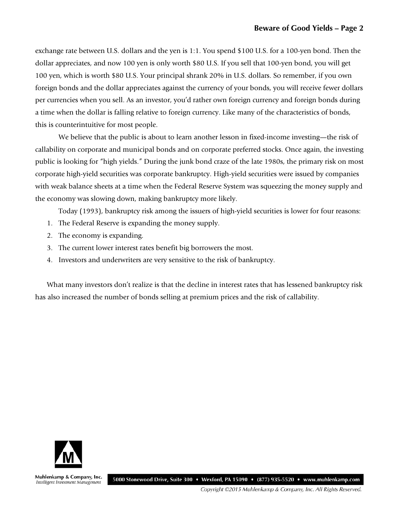exchange rate between U.S. dollars and the yen is 1:1. You spend \$100 U.S. for a 100-yen bond. Then the dollar appreciates, and now 100 yen is only worth \$80 U.S. If you sell that 100-yen bond, you will get 100 yen, which is worth \$80 U.S. Your principal shrank 20% in U.S. dollars. So remember, if you own foreign bonds and the dollar appreciates against the currency of your bonds, you will receive fewer dollars per currencies when you sell. As an investor, you'd rather own foreign currency and foreign bonds during a time when the dollar is falling relative to foreign currency. Like many of the characteristics of bonds, this is counterintuitive for most people.

We believe that the public is about to learn another lesson in fixed-income investing—the risk of callability on corporate and municipal bonds and on corporate preferred stocks. Once again, the investing public is looking for "high yields." During the junk bond craze of the late 1980s, the primary risk on most corporate high-yield securities was corporate bankruptcy. High-yield securities were issued by companies with weak balance sheets at a time when the Federal Reserve System was squeezing the money supply and the economy was slowing down, making bankruptcy more likely.

Today (1993), bankruptcy risk among the issuers of high-yield securities is lower for four reasons:

- 1. The Federal Reserve is expanding the money supply.
- 2. The economy is expanding.
- 3. The current lower interest rates benefit big borrowers the most.
- 4. Investors and underwriters are very sensitive to the risk of bankruptcy.

What many investors don't realize is that the decline in interest rates that has lessened bankruptcy risk has also increased the number of bonds selling at premium prices and the risk of callability.



Muhlenkamp & Company, Inc. Intelligent Investment Management

5000 Stonewood Drive, Suite 300 • Wexford, PA 15090 • (877) 935-5520 • www.muhlenkamp.com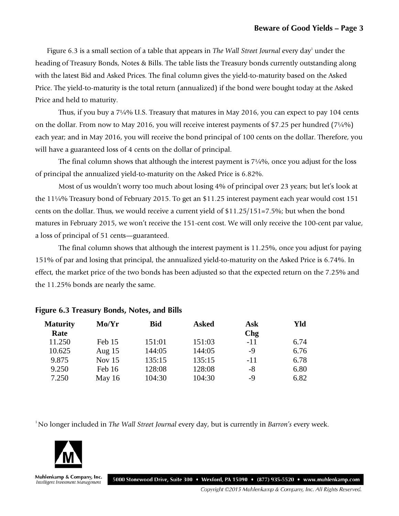Figure 6.3 is a small section of a table that appears in *The Wall Street Journal* every day<sup>1</sup> under the heading of Treasury Bonds, Notes & Bills. The table lists the Treasury bonds currently outstanding along with the latest Bid and Asked Prices. The final column gives the yield-to-maturity based on the Asked Price. The yield-to-maturity is the total return (annualized) if the bond were bought today at the Asked Price and held to maturity.

Thus, if you buy a 7¼% U.S. Treasury that matures in May 2016, you can expect to pay 104 cents on the dollar. From now to May 2016, you will receive interest payments of \$7.25 per hundred (7¼%) each year; and in May 2016, you will receive the bond principal of 100 cents on the dollar. Therefore, you will have a guaranteed loss of 4 cents on the dollar of principal.

The final column shows that although the interest payment is 7¼%, once you adjust for the loss of principal the annualized yield-to-maturity on the Asked Price is 6.82%.

Most of us wouldn't worry too much about losing 4% of principal over 23 years; but let's look at the 11¼% Treasury bond of February 2015. To get an \$11.25 interest payment each year would cost 151 cents on the dollar. Thus, we would receive a current yield of \$11.25/151=7.5%; but when the bond matures in February 2015, we won't receive the 151-cent cost. We will only receive the 100-cent par value, a loss of principal of 51 cents—guaranteed.

The final column shows that although the interest payment is 11.25%, once you adjust for paying 151% of par and losing that principal, the annualized yield-to-maturity on the Asked Price is 6.74%. In effect, the market price of the two bonds has been adjusted so that the expected return on the 7.25% and the 11.25% bonds are nearly the same.

| <b>Maturity</b> | Mo/Yr    | <b>Bid</b> | <b>Asked</b> | Ask   | Yld  |
|-----------------|----------|------------|--------------|-------|------|
| Rate            |          |            |              | Chg   |      |
| 11.250          | Feb 15   | 151:01     | 151:03       | $-11$ | 6.74 |
| 10.625          | Aug $15$ | 144:05     | 144:05       | -9    | 6.76 |
| 9.875           | Nov $15$ | 135:15     | 135:15       | $-11$ | 6.78 |
| 9.250           | Feb 16   | 128:08     | 128:08       | -8    | 6.80 |
| 7.250           | May 16   | 104:30     | 104:30       | -9    | 6.82 |

#### **Figure 6.3 Treasury Bonds, Notes, and Bills**

1 No longer included in *The Wall Street Journal* every day, but is currently in *Barron's* every week.



Muhlenkamp & Company, Inc. Intelligent Investment Management

5000 Stonewood Drive, Suite 300 • Wexford, PA 15090 • (877) 935-5520 • www.muhlenkamp.com

Copyright ©2015 Muhlenkamp & Company, Inc. All Rights Reserved.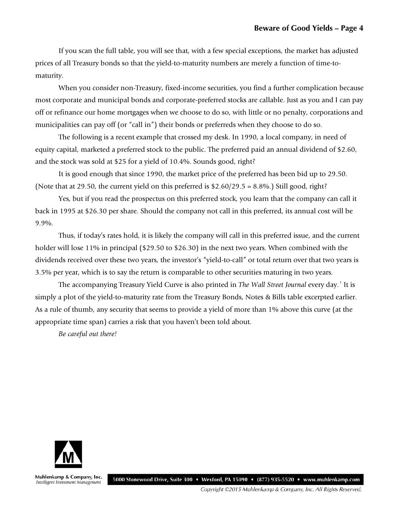If you scan the full table, you will see that, with a few special exceptions, the market has adjusted prices of all Treasury bonds so that the yield-to-maturity numbers are merely a function of time-tomaturity.

When you consider non-Treasury, fixed-income securities, you find a further complication because most corporate and municipal bonds and corporate-preferred stocks are callable. Just as you and I can pay off or refinance our home mortgages when we choose to do so, with little or no penalty, corporations and municipalities can pay off (or "call in") their bonds or preferreds when they choose to do so.

The following is a recent example that crossed my desk. In 1990, a local company, in need of equity capital, marketed a preferred stock to the public. The preferred paid an annual dividend of \$2.60, and the stock was sold at \$25 for a yield of 10.4%. Sounds good, right?

It is good enough that since 1990, the market price of the preferred has been bid up to 29.50. (Note that at 29.50, the current yield on this preferred is \$2.60/29.5 = 8.8%.) Still good, right?

Yes, but if you read the prospectus on this preferred stock, you learn that the company can call it back in 1995 at \$26.30 per share. Should the company not call in this preferred, its annual cost will be 9.9%.

Thus, if today's rates hold, it is likely the company will call in this preferred issue, and the current holder will lose 11% in principal (\$29.50 to \$26.30) in the next two years. When combined with the dividends received over these two years, the investor's "yield-to-call" or total return over that two years is 3.5% per year, which is to say the return is comparable to other securities maturing in two years.

The accompanying Treasury Yield Curve is also printed in *The Wall Street Journal* every day. <sup>1</sup> It is simply a plot of the yield-to-maturity rate from the Treasury Bonds, Notes & Bills table excerpted earlier. As a rule of thumb, any security that seems to provide a yield of more than 1% above this curve (at the appropriate time span) carries a risk that you haven't been told about.

*Be careful out there!*



Muhlenkamp & Company, Inc. Intelligent Investment Management

5000 Stonewood Drive, Suite 300 • Wexford, PA 15090 • (877) 935-5520 • www.muhlenkamp.com

Copyright ©2015 Muhlenkamp & Company, Inc. All Rights Reserved.